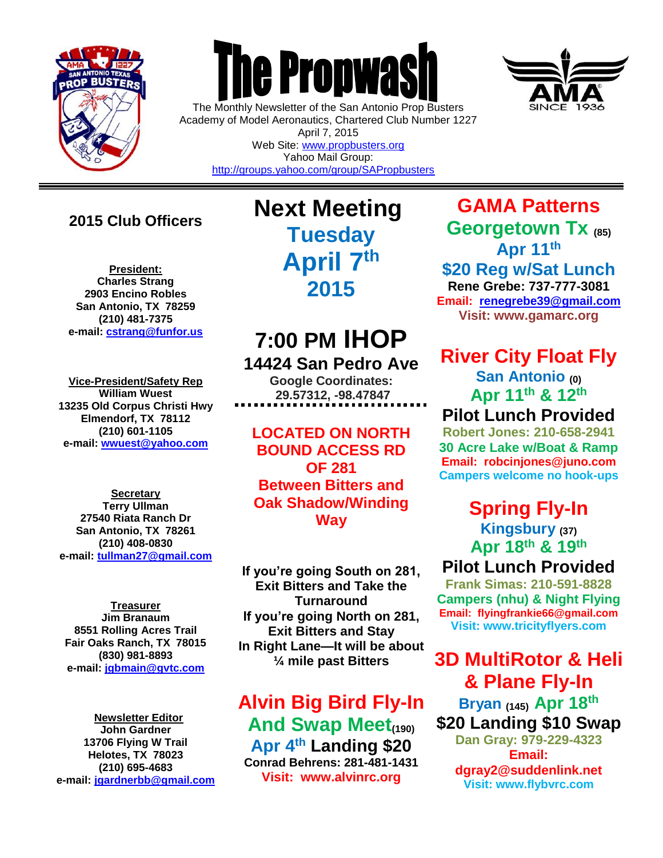

 $\overline{a}$ 

## **The Propwas**

The Monthly Newsletter of the San Antonio Prop Busters Academy of Model Aeronautics, Chartered Club Number 1227 April 7, 2015 Web Site: [www.propbusters.org](http://www.propbusters.org/)

Yahoo Mail Group: <http://groups.yahoo.com/group/SAPropbusters>

## **2015 Club Officers**

**President: Charles Strang 2903 Encino Robles San Antonio, TX 78259 (210) 481-7375 e-mail: [cstrang@funfor.us](mailto:cstrang@funfor.us)**

**Vice-President/Safety Rep William Wuest 13235 Old Corpus Christi Hwy Elmendorf, TX 78112 (210) 601-1105 e-mail: [wwuest@yahoo.com](mailto:crashsiegel@yahoo.com)**

**Secretary Terry Ullman 27540 Riata Ranch Dr San Antonio, TX 78261 (210) 408-0830 e-mail: [tullman27@gmail.com](mailto:tullman27@gmail.com)**

**Treasurer Jim Branaum 8551 Rolling Acres Trail Fair Oaks Ranch, TX 78015 (830) 981-8893 e-mail: [jgbmain@gvtc.com](mailto:jgbmain@gvtc.com)**

**Newsletter Editor John Gardner 13706 Flying W Trail Helotes, TX 78023 (210) 695-4683 e-mail: [jgardnerbb@gmail.com](mailto:jgardnerbb@gmail.com)** **Next Meeting Tuesday April 7th 2015**

## **7:00 PM IHOP 14424 San Pedro Ave**

**Google Coordinates: 29.57312, -98.47847**

**LOCATED ON NORTH BOUND ACCESS RD OF 281 Between Bitters and Oak Shadow/Winding Way**

**If you're going South on 281, Exit Bitters and Take the Turnaround If you're going North on 281, Exit Bitters and Stay In Right Lane—It will be about ¼ mile past Bitters**

**Alvin Big Bird Fly-In And Swap Meet(190) Apr 4th Landing \$20 Conrad Behrens: 281-481-1431 Visit: www.alvinrc.org**

**GAMA Patterns Georgetown Tx (85) Apr 11th**

**\$20 Reg w/Sat Lunch Rene Grebe: 737-777-3081 Email: [renegrebe39@gmail.com](mailto:renegrebe39@gmail.com)**

**Visit: www.gamarc.org**

## **River City Float Fly**

**San Antonio (0) Apr 11th & 12th**

**Pilot Lunch Provided**

**Robert Jones: 210-658-2941 30 Acre Lake w/Boat & Ramp Email: robcinjones@juno.com Campers welcome no hook-ups**

**Spring Fly-In**

**Kingsbury (37) Apr 18 th & 19 th** 

**Pilot Lunch Provided**

**Frank Simas: 210-591-8828 Campers (nhu) & Night Flying Email: flyingfrankie66@gmail.com Visit: www.tricityflyers.com**

## **3D MultiRotor & Heli & Plane Fly-In**

**Bryan (145) Apr 18 th \$20 Landing \$10 Swap Dan Gray: 979-229-4323 Email: dgray2@suddenlink.net Visit: www.flybvrc.com**

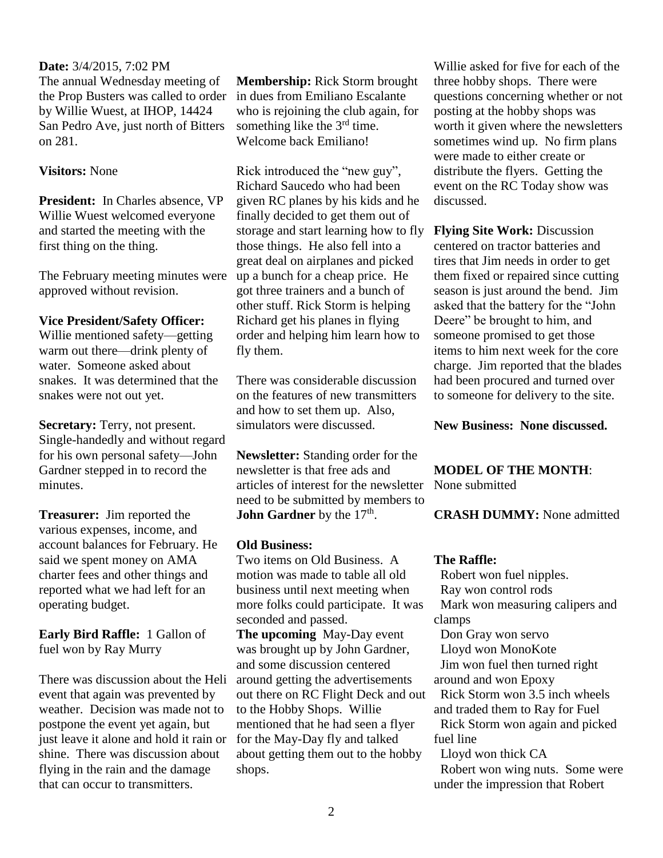### **Date:** 3/4/2015, 7:02 PM

The annual Wednesday meeting of the Prop Busters was called to order by Willie Wuest, at IHOP, 14424 San Pedro Ave, just north of Bitters on 281.

### **Visitors:** None

**President:** In Charles absence, VP Willie Wuest welcomed everyone and started the meeting with the first thing on the thing.

The February meeting minutes were approved without revision.

#### **Vice President/Safety Officer:**

Willie mentioned safety—getting warm out there—drink plenty of water. Someone asked about snakes. It was determined that the snakes were not out yet.

**Secretary:** Terry, not present. Single-handedly and without regard for his own personal safety—John Gardner stepped in to record the minutes.

**Treasurer:** Jim reported the various expenses, income, and account balances for February. He said we spent money on AMA charter fees and other things and reported what we had left for an operating budget.

**Early Bird Raffle:** 1 Gallon of fuel won by Ray Murry

There was discussion about the Heli event that again was prevented by weather. Decision was made not to postpone the event yet again, but just leave it alone and hold it rain or shine. There was discussion about flying in the rain and the damage that can occur to transmitters.

**Membership:** Rick Storm brought in dues from Emiliano Escalante who is rejoining the club again, for something like the 3<sup>rd</sup> time. Welcome back Emiliano!

Rick introduced the "new guy", Richard Saucedo who had been given RC planes by his kids and he finally decided to get them out of storage and start learning how to fly those things. He also fell into a great deal on airplanes and picked up a bunch for a cheap price. He got three trainers and a bunch of other stuff. Rick Storm is helping Richard get his planes in flying order and helping him learn how to fly them.

There was considerable discussion on the features of new transmitters and how to set them up. Also, simulators were discussed.

**Newsletter:** Standing order for the newsletter is that free ads and articles of interest for the newsletter need to be submitted by members to **John Gardner** by the 17<sup>th</sup>.

#### **Old Business:**

Two items on Old Business. A motion was made to table all old business until next meeting when more folks could participate. It was seconded and passed.

**The upcoming** May-Day event was brought up by John Gardner, and some discussion centered around getting the advertisements out there on RC Flight Deck and out to the Hobby Shops. Willie mentioned that he had seen a flyer for the May-Day fly and talked about getting them out to the hobby shops.

Willie asked for five for each of the three hobby shops. There were questions concerning whether or not posting at the hobby shops was worth it given where the newsletters sometimes wind up. No firm plans were made to either create or distribute the flyers. Getting the event on the RC Today show was discussed.

**Flying Site Work: Discussion** centered on tractor batteries and tires that Jim needs in order to get them fixed or repaired since cutting season is just around the bend. Jim asked that the battery for the "John Deere" be brought to him, and someone promised to get those items to him next week for the core charge. Jim reported that the blades had been procured and turned over to someone for delivery to the site.

**New Business: None discussed.**

**MODEL OF THE MONTH**: None submitted

**CRASH DUMMY:** None admitted

### **The Raffle:**

 Robert won fuel nipples. Ray won control rods Mark won measuring calipers and clamps Don Gray won servo Lloyd won MonoKote Jim won fuel then turned right around and won Epoxy Rick Storm won 3.5 inch wheels and traded them to Ray for Fuel Rick Storm won again and picked fuel line Lloyd won thick CA Robert won wing nuts. Some were

under the impression that Robert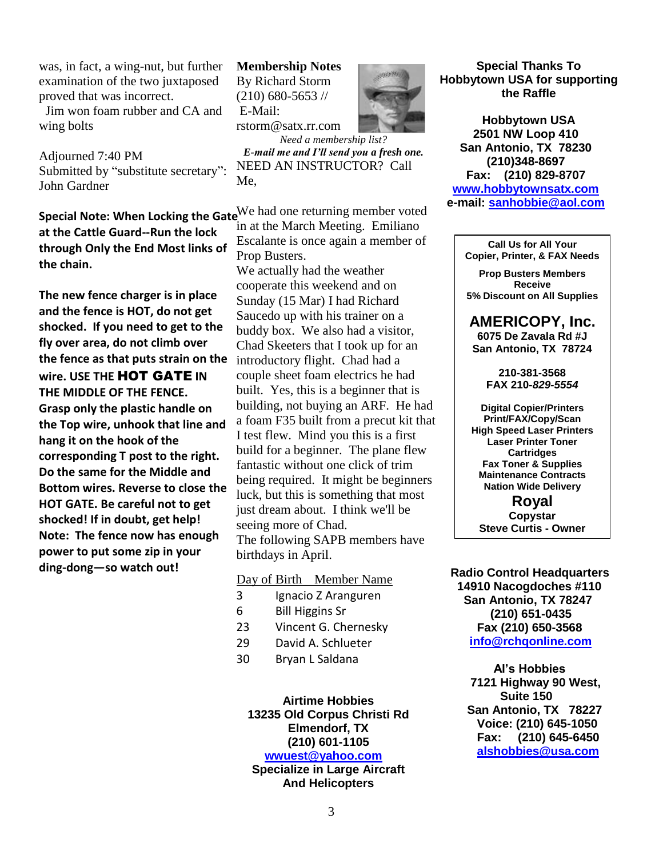was, in fact, a wing-nut, but further examination of the two juxtaposed proved that was incorrect.

 Jim won foam rubber and CA and wing bolts

Adjourned 7:40 PM Submitted by "substitute secretary": John Gardner

**at the Cattle Guard--Run the lock through Only the End Most links of the chain.** 

**The new fence charger is in place and the fence is HOT, do not get shocked. If you need to get to the fly over area, do not climb over the fence as that puts strain on the wire. USE THE** HOT GATE **IN THE MIDDLE OF THE FENCE. Grasp only the plastic handle on the Top wire, unhook that line and hang it on the hook of the corresponding T post to the right. Do the same for the Middle and Bottom wires. Reverse to close the HOT GATE. Be careful not to get shocked! If in doubt, get help! Note: The fence now has enough power to put some zip in your ding-dong—so watch out!**

**Membership Notes** By Richard Storm  $(210)$  680-5653 // E-Mail:



rstorm@satx.rr.com

*Need a membership list? E-mail me and I'll send you a fresh one.* NEED AN INSTRUCTOR? Call Me,

**Special Note: When Locking the Gate**<sup>We</sup> had one returning member voted in at the March Meeting. Emiliano Escalante is once again a member of Prop Busters.

> We actually had the weather cooperate this weekend and on Sunday (15 Mar) I had Richard Saucedo up with his trainer on a buddy box. We also had a visitor, Chad Skeeters that I took up for an introductory flight. Chad had a couple sheet foam electrics he had built. Yes, this is a beginner that is building, not buying an ARF. He had a foam F35 built from a precut kit that I test flew. Mind you this is a first build for a beginner. The plane flew fantastic without one click of trim being required. It might be beginners luck, but this is something that most just dream about. I think we'll be seeing more of Chad. The following SAPB members have birthdays in April.

### Day of Birth Member Name

- 3 Ignacio Z Aranguren
- 6 Bill Higgins Sr
- 23 Vincent G. Chernesky
- 29 David A. Schlueter
- 30 Bryan L Saldana

**Airtime Hobbies 13235 Old Corpus Christi Rd Elmendorf, TX (210) 601-1105** 

### **[wwuest@yahoo.com](mailto:wwuest@yahoo.com)**

**Specialize in Large Aircraft And Helicopters**

**Special Thanks To Hobbytown USA for supporting the Raffle**

**Hobbytown USA 2501 NW Loop 410 San Antonio, TX 78230 (210)348-8697 Fax: (210) 829-8707 [www.hobbytownsatx.com](http://www.hobbytownsatx.com/) e-mail: [sanhobbie@aol.com](mailto:sanhobbie@aol.com)**

> **Call Us for All Your Copier, Printer, & FAX Needs**

**Prop Busters Members Receive 5% Discount on All Supplies**

**AMERICOPY, Inc. 6075 De Zavala Rd #J San Antonio, TX 78724**

> **210-381-3568 FAX 210-***829-5554*

**Digital Copier/Printers Print/FAX/Copy/Scan High Speed Laser Printers Laser Printer Toner Cartridges Fax Toner & Supplies Maintenance Contracts Nation Wide Delivery**

**Royal Copystar Steve Curtis - Owner**

 **Radio Control Headquarters 14910 Nacogdoches #110 San Antonio, TX 78247 (210) 651-0435 Fax (210) 650-3568 [info@rchqonline.com](mailto:info@rchqonline.com)**

 **Al's Hobbies 7121 Highway 90 West, Suite 150 San Antonio, TX 78227 Voice: (210) 645-1050 Fax: (210) 645-6450 [alshobbies@usa.com](mailto:alshobbies@usa.com)**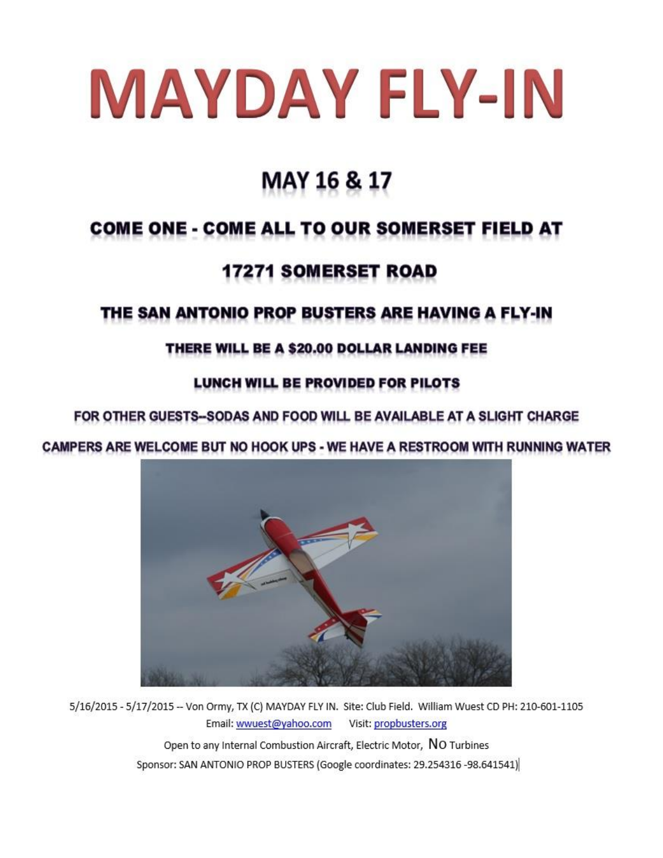# MAYDAY FLY-IN

## **MAY 16 & 17**

## **COME ONE - COME ALL TO OUR SOMERSET FIELD AT**

## **17271 SOMERSET ROAD**

## THE SAN ANTONIO PROP BUSTERS ARE HAVING A FLY-IN

### THERE WILL BE A \$20.00 DOLLAR LANDING FEE

### LUNCH WILL BE PROVIDED FOR PILOTS

### FOR OTHER GUESTS-SODAS AND FOOD WILL BE AVAILABLE AT A SLIGHT CHARGE

### CAMPERS ARE WELCOME BUT NO HOOK UPS - WE HAVE A RESTROOM WITH RUNNING WATER



5/16/2015 - 5/17/2015 -- Von Ormy, TX (C) MAYDAY FLY IN. Site: Club Field. William Wuest CD PH: 210-601-1105 Visit: propbusters.org Email: wwuest@yahoo.com Open to any Internal Combustion Aircraft, Electric Motor, NO Turbines Sponsor: SAN ANTONIO PROP BUSTERS (Google coordinates: 29.254316 -98.641541)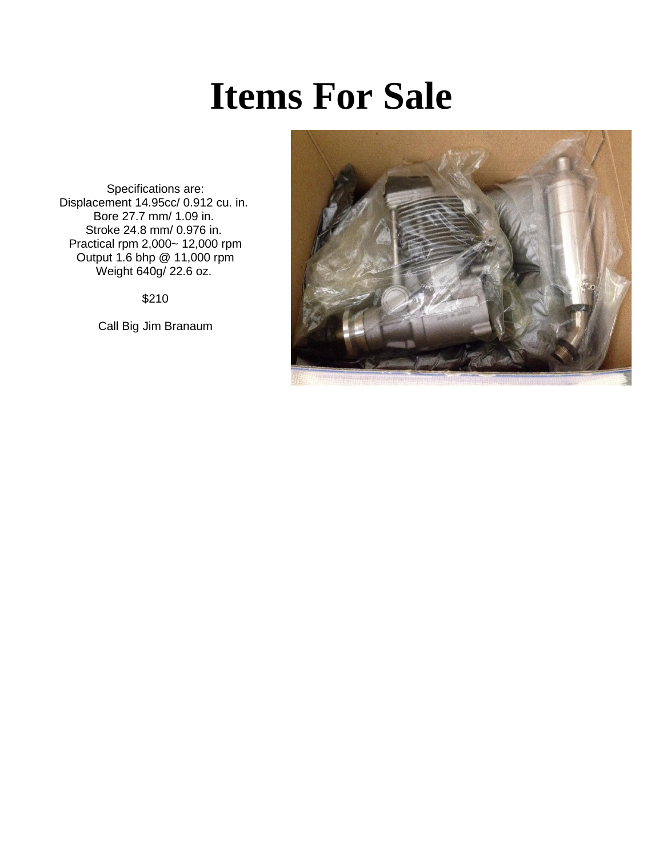## **Items For Sale**

Specifications are: Displacement 14.95cc/ 0.912 cu. in. Bore 27.7 mm/ 1.09 in. Stroke 24.8 mm/ 0.976 in. Practical rpm 2,000~ 12,000 rpm Output 1.6 bhp @ 11,000 rpm Weight 640g/ 22.6 oz.

\$210

Call Big Jim Branaum